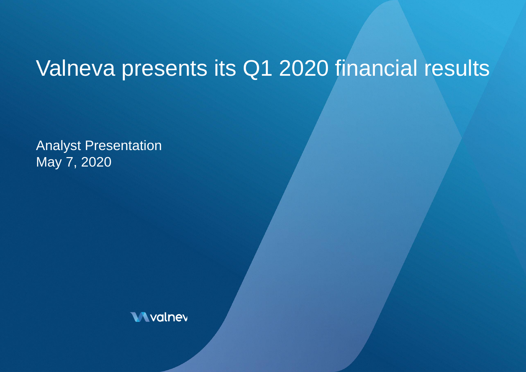# Valneva presents its Q1 2020 financial results

Analyst Presentation May 7, 2020

**Wyalney**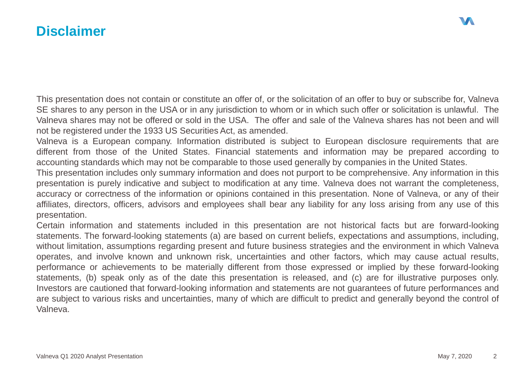### **Disclaimer**

This presentation does not contain or constitute an offer of, or the solicitation of an offer to buy or subscribe for, Valneva SE shares to any person in the USA or in any jurisdiction to whom or in which such offer or solicitation is unlawful. The Valneva shares may not be offered or sold in the USA. The offer and sale of the Valneva shares has not been and will not be registered under the 1933 US Securities Act, as amended.

Valneva is a European company. Information distributed is subject to European disclosure requirements that are different from those of the United States. Financial statements and information may be prepared according to accounting standards which may not be comparable to those used generally by companies in the United States.

This presentation includes only summary information and does not purport to be comprehensive. Any information in this presentation is purely indicative and subject to modification at any time. Valneva does not warrant the completeness, accuracy or correctness of the information or opinions contained in this presentation. None of Valneva, or any of their affiliates, directors, officers, advisors and employees shall bear any liability for any loss arising from any use of this presentation.

Certain information and statements included in this presentation are not historical facts but are forward-looking statements. The forward-looking statements (a) are based on current beliefs, expectations and assumptions, including, without limitation, assumptions regarding present and future business strategies and the environment in which Valneva operates, and involve known and unknown risk, uncertainties and other factors, which may cause actual results, performance or achievements to be materially different from those expressed or implied by these forward-looking statements, (b) speak only as of the date this presentation is released, and (c) are for illustrative purposes only. Investors are cautioned that forward-looking information and statements are not guarantees of future performances and are subject to various risks and uncertainties, many of which are difficult to predict and generally beyond the control of Valneva.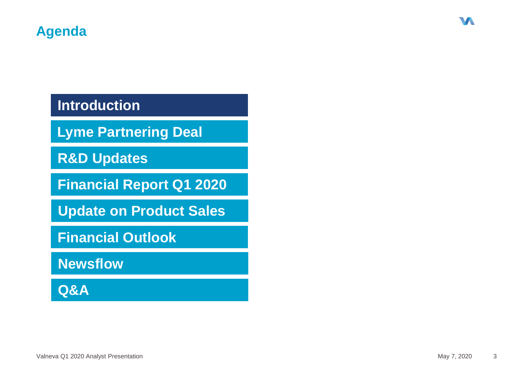# **Introduction**

**Lyme Partnering Deal**

**R&D Updates** 

**Financial Report Q1 2020**

**Update on Product Sales**

**Financial Outlook**

**Newsflow**

**Q&A**

W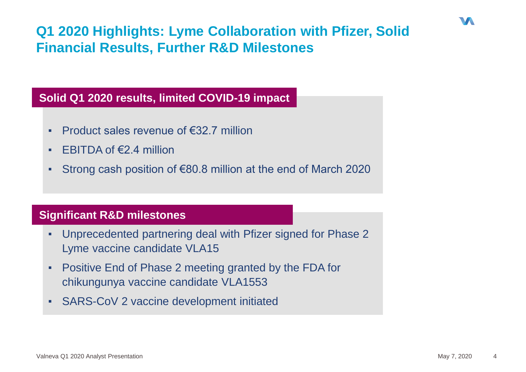# **Q1 2020 Highlights: Lyme Collaboration with Pfizer, Solid Financial Results, Further R&D Milestones**

### **Solid Q1 2020 results, limited COVID-19 impact**

- **Product sales revenue of €32.7 million**
- EBITDA of  $\epsilon$ 2.4 million
- Strong cash position of  $\epsilon$ 80.8 million at the end of March 2020

#### **Significant R&D milestones**

- Unprecedented partnering deal with Pfizer signed for Phase 2 Lyme vaccine candidate VLA15
- **Positive End of Phase 2 meeting granted by the FDA for** chikungunya vaccine candidate VLA1553
- SARS-CoV 2 vaccine development initiated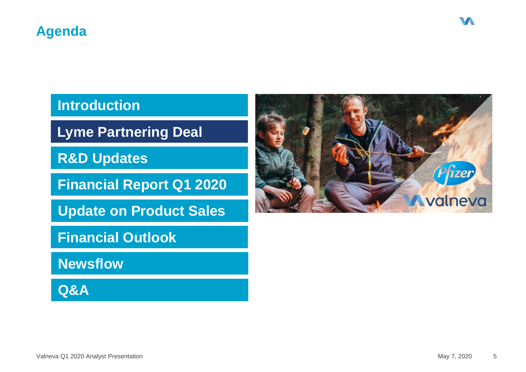# **Introduction**

**Lyme Partnering Deal**

**R&D Updates** 

**Financial Report Q1 2020**

**Update on Product Sales**

**Financial Outlook**

**Newsflow**

**Q&A**

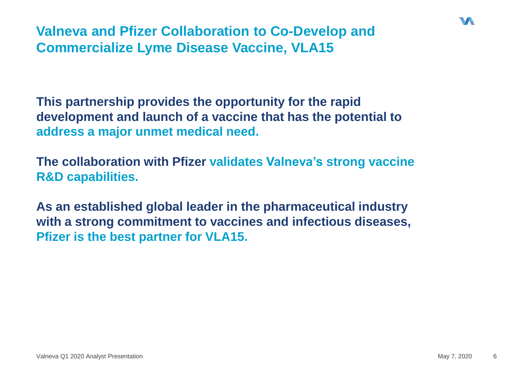**Valneva and Pfizer Collaboration to Co-Develop and Commercialize Lyme Disease Vaccine, VLA15** 

**This partnership provides the opportunity for the rapid development and launch of a vaccine that has the potential to address a major unmet medical need.**

**The collaboration with Pfizer validates Valneva's strong vaccine R&D capabilities.** 

**As an established global leader in the pharmaceutical industry with a strong commitment to vaccines and infectious diseases, Pfizer is the best partner for VLA15.**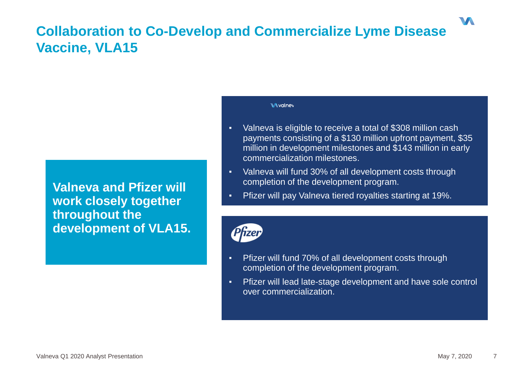# **Collaboration to Co-Develop and Commercialize Lyme Disease Vaccine, VLA15**

**Valneva and Pfizer will work closely together throughout the development of VLA15.** 

#### **Mydney**

- Valneva is eligible to receive a total of \$308 million cash payments consisting of a \$130 million upfront payment, \$35 million in development milestones and \$143 million in early commercialization milestones.
- Valneva will fund 30% of all development costs through completion of the development program.
- Pfizer will pay Valneva tiered royalties starting at 19%.



- Pfizer will fund 70% of all development costs through completion of the development program.
- Pfizer will lead late-stage development and have sole control over commercialization.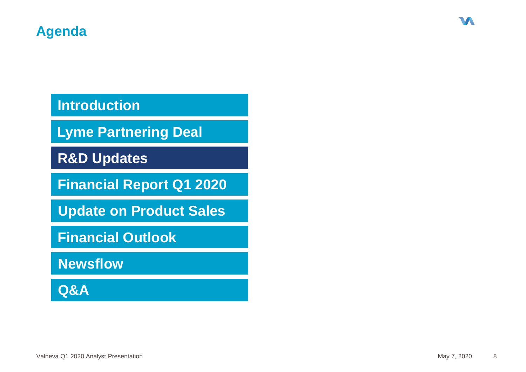# **Introduction**

**Lyme Partnering Deal**

**R&D Updates** 

**Financial Report Q1 2020**

**Update on Product Sales**

**Financial Outlook**

**Newsflow**

**Q&A**

W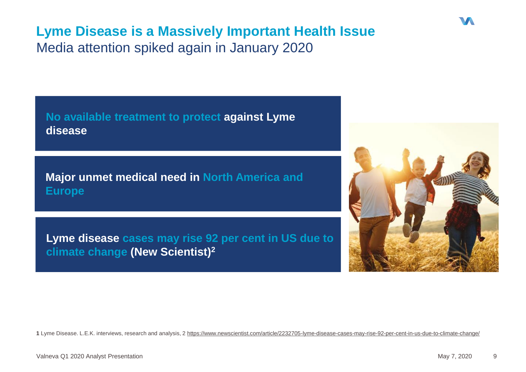# **Lyme Disease is a Massively Important Health Issue** Media attention spiked again in January 2020

**No available treatment to protect against Lyme disease**

**Major unmet medical need in North America and Europe**

**Lyme disease cases may rise 92 per cent in US due to climate change (New Scientist)<sup>2</sup>**



**1** Lyme Disease. L.E.K. interviews, research and analysis, 2 https://www.newscientist.com/article/2232705-lyme-disease-cases-may-rise-92-per-cent-in-us-due-to-climate-change/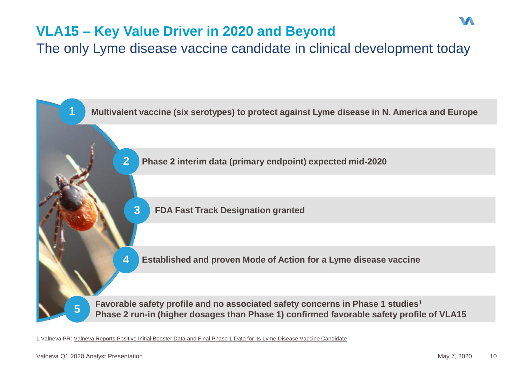# **VLA15 – Key Value Driver in 2020 and Beyond**

The only Lyme disease vaccine candidate in clinical development today



1 Valneva PR: [Valneva Reports Positive Initial Booster Data and Final Phase 1 Data for its Lyme Disease Vaccine Candidate](https://valneva.com/press-release/valneva-reports-positive-initial-booster-data-and-final-phase-1-data-for-its-lyme-disease-vaccine-candidate/)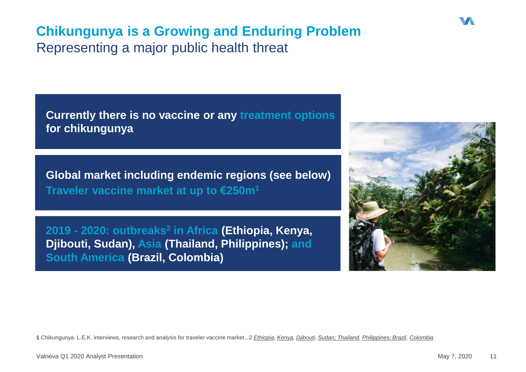# **Chikungunya is a Growing and Enduring Problem** Representing a major public health threat

**Currently there is no vaccine or any treatment options for chikungunya**

**Global market including endemic regions (see below) Traveler vaccine market at up to €250m<sup>1</sup>**

**2019 - 2020: outbreaks<sup>2</sup> in Africa (Ethiopia, Kenya, Djibouti, Sudan), Asia (Thailand, Philippines); and South America (Brazil, Colombia)**



1 Chikungunya, L.E.K. interviews, research and analysis for traveler vaccine market., 2 [Ethiopia,](http://outbreaknewstoday.com/ethiopia-chikungunya-update-nearly-2000-additional-cases-reported-80668/) [Kenya](http://outbreaknewstoday.com/kenya-reports-chikungunya-outbreak-37499/), Diibouti, Sudan: Thailand, Philippines: Brazi[l,](http://outbreaknewstoday.com/brazil-pernambuco-reports-increase-in-arboviruses-dengue-zika-and-chikungunya-in-2019/) [Colombia](http://outbreaknewstoday.com/chikungunya-zika-and-dengue-in-colombia-71432/)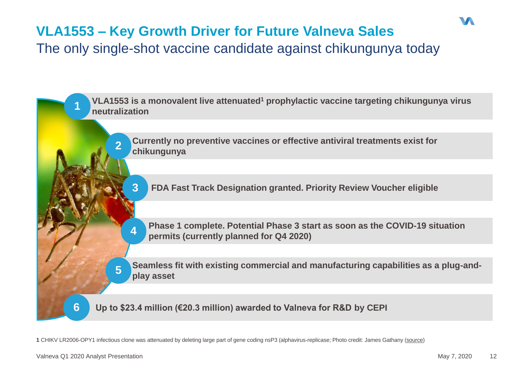# **VLA1553 – Key Growth Driver for Future Valneva Sales**

The only single-shot vaccine candidate against chikungunya today

**VLA1553 is a monovalent live attenuated<sup>1</sup> prophylactic vaccine targeting chikungunya virus neutralization 1 Currently no preventive vaccines or effective antiviral treatments exist for chikungunya 2 3 FDA Fast Track Designation granted. Priority Review Voucher eligible Phase 1 complete. Potential Phase 3 start as soon as the COVID-19 situation permits (currently planned for Q4 2020) 4 6 Up to \$23.4 million (€20.3 million) awarded to Valneva for R&D by CEPI Seamless fit with existing commercial and manufacturing capabilities as a plug-andplay asset**<br>**play asset** 

**1** CHIKV LR2006-OPY1 infectious clone was attenuated by deleting large part of gene coding nsP3 (alphavirus-replicase; Photo credit: James Gathany [\(source](https://flic.kr/p/9u7aKB))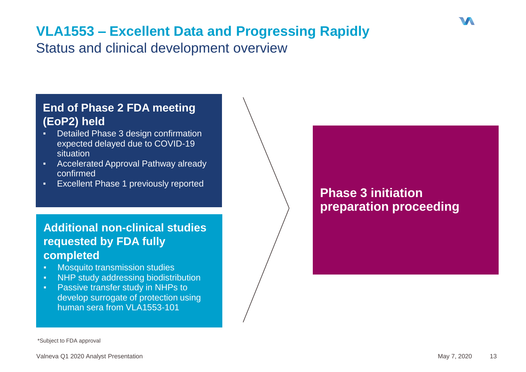# **VLA1553 – Excellent Data and Progressing Rapidly**

Status and clinical development overview

### **End of Phase 2 FDA meeting (EoP2) held**

- **Detailed Phase 3 design confirmation** expected delayed due to COVID-19 situation
- Accelerated Approval Pathway already confirmed
- Excellent Phase 1 previously reported

### **Additional non-clinical studies requested by FDA fully completed**

- Mosquito transmission studies
- **NHP study addressing biodistribution**
- **Passive transfer study in NHPs to** develop surrogate of protection using human sera from VLA1553-101

## **Phase 3 initiation preparation proceeding**

\*Subject to FDA approval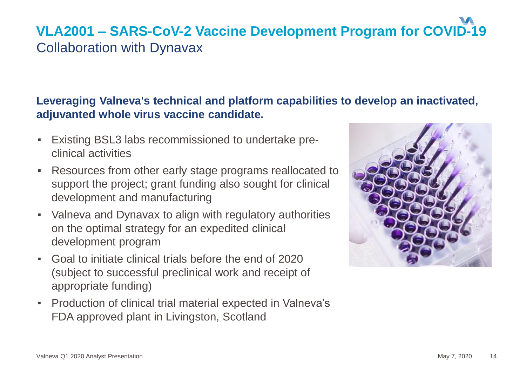# **VLA2001 – SARS-CoV-2 Vaccine Development Program for COVID-19** Collaboration with Dynavax

### **Leveraging Valneva's technical and platform capabilities to develop an inactivated, adjuvanted whole virus vaccine candidate.**

- Existing BSL3 labs recommissioned to undertake preclinical activities
- Resources from other early stage programs reallocated to support the project; grant funding also sought for clinical development and manufacturing
- Valneva and Dynavax to align with regulatory authorities on the optimal strategy for an expedited clinical development program
- Goal to initiate clinical trials before the end of 2020 (subject to successful preclinical work and receipt of appropriate funding)
- Production of clinical trial material expected in Valneva's FDA approved plant in Livingston, Scotland

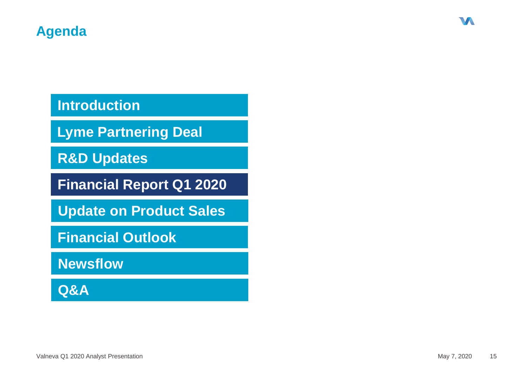# **Introduction**

**Lyme Partnering Deal**

**R&D Updates** 

**Financial Report Q1 2020**

**Update on Product Sales**

**Financial Outlook**

**Newsflow**

**Q&A**

W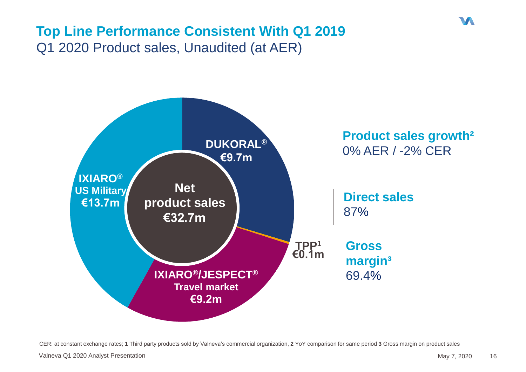# **Top Line Performance Consistent With Q1 2019** Q1 2020 Product sales, Unaudited (at AER)



CER: at constant exchange rates; **1** Third party products sold by Valneva's commercial organization, **2** YoY comparison for same period **3** Gross margin on product sales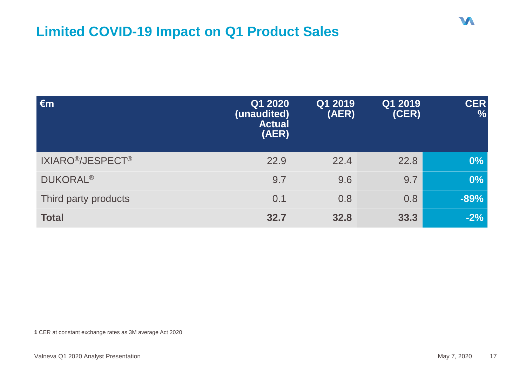# **Limited COVID-19 Impact on Q1 Product Sales**

| $\epsilon$ m                              | Q1 2020<br>(unaudited)<br><b>Actual</b><br>(AER) | Q1 2019<br>(AER) | Q1 2019<br>(CER) | <b>CER</b><br>$\frac{0}{0}$ |
|-------------------------------------------|--------------------------------------------------|------------------|------------------|-----------------------------|
| IXIARO <sup>®</sup> /JESPECT <sup>®</sup> | 22.9                                             | 22.4             | 22.8             | $0\%$                       |
| <b>DUKORAL<sup>®</sup></b>                | 9.7                                              | 9.6              | 9.7              | 0%                          |
| Third party products                      | 0.1                                              | 0.8              | 0.8              | $-89%$                      |
| <b>Total</b>                              | 32.7                                             | 32.8             | 33.3             | $-2%$                       |

**1** CER at constant exchange rates as 3M average Act 2020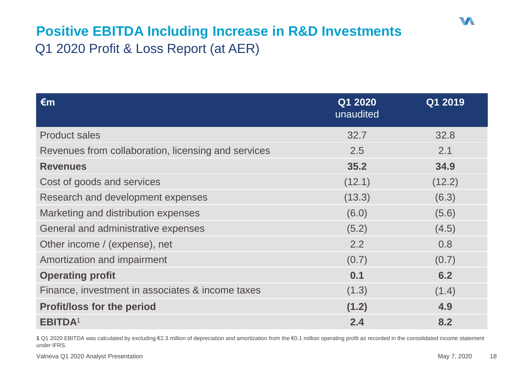# **Positive EBITDA Including Increase in R&D Investments** Q1 2020 Profit & Loss Report (at AER)

| $\epsilon$ m                                        | Q1 2020<br>unaudited | Q1 2019 |
|-----------------------------------------------------|----------------------|---------|
| <b>Product sales</b>                                | 32.7                 | 32.8    |
| Revenues from collaboration, licensing and services | 2.5                  | 2.1     |
| <b>Revenues</b>                                     | 35.2                 | 34.9    |
| Cost of goods and services                          | (12.1)               | (12.2)  |
| Research and development expenses                   | (13.3)               | (6.3)   |
| Marketing and distribution expenses                 | (6.0)                | (5.6)   |
| General and administrative expenses                 | (5.2)                | (4.5)   |
| Other income / (expense), net                       | 2.2                  | 0.8     |
| Amortization and impairment                         | (0.7)                | (0.7)   |
| <b>Operating profit</b>                             | 0.1                  | 6.2     |
| Finance, investment in associates & income taxes    | (1.3)                | (1.4)   |
| <b>Profit/loss for the period</b>                   | (1.2)                | 4.9     |
| <b>EBITDA1</b>                                      | 2.4                  | 8.2     |

**1** Q1 2020 EBITDA was calculated by excluding €2.3 million of depreciation and amortization from the €0.1 million operating profit as recorded in the consolidated income statement under IFRS.

Valneva Q1 2020 Analyst Presentation **May 7, 2020** 18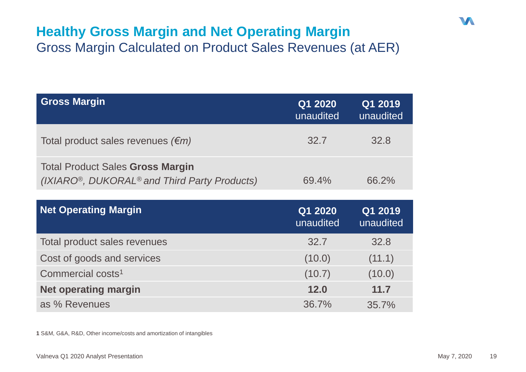## **Healthy Gross Margin and Net Operating Margin** Gross Margin Calculated on Product Sales Revenues (at AER)

| <b>Gross Margin</b>                                                                                              | Q1 2020<br>unaudited | Q1 2019<br>unaudited |
|------------------------------------------------------------------------------------------------------------------|----------------------|----------------------|
| Total product sales revenues $(\epsilon m)$                                                                      | 32.7                 | 32.8                 |
| <b>Total Product Sales Gross Margin</b><br>(IXIARO <sup>®</sup> , DUKORAL <sup>®</sup> and Third Party Products) | 69.4%                | 66.2%                |

| <b>Net Operating Margin</b>   | Q1 2020<br>unaudited | Q1 2019<br>unaudited |
|-------------------------------|----------------------|----------------------|
| Total product sales revenues  | 32.7                 | 32.8                 |
| Cost of goods and services    | (10.0)               | (11.1)               |
| Commercial costs <sup>1</sup> | (10.7)               | (10.0)               |
| <b>Net operating margin</b>   | 12.0                 | 11.7                 |
| as % Revenues                 | 36.7%                | 35.7%                |

**1** S&M, G&A, R&D, Other income/costs and amortization of intangibles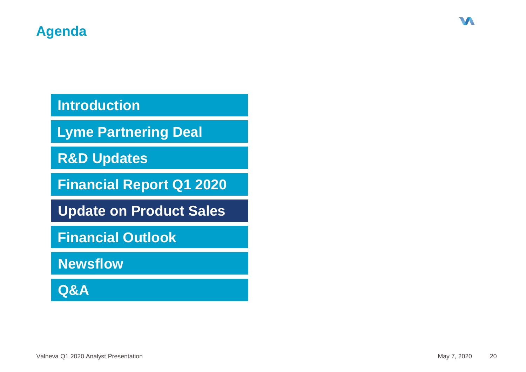# **Introduction**

**Lyme Partnering Deal**

**R&D Updates** 

**Financial Report Q1 2020**

**Update on Product Sales**

**Financial Outlook**

**Newsflow**

**Q&A**

W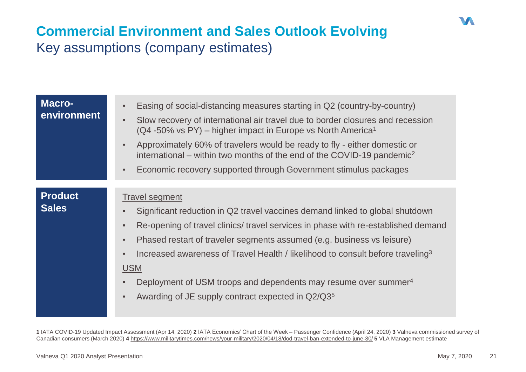# **Commercial Environment and Sales Outlook Evolving** Key assumptions (company estimates)

| <b>Macro-</b><br>environment   | Easing of social-distancing measures starting in Q2 (country-by-country)<br>Slow recovery of international air travel due to border closures and recession<br>(Q4 -50% vs PY) – higher impact in Europe vs North America <sup>1</sup><br>Approximately 60% of travelers would be ready to fly - either domestic or<br>international – within two months of the end of the COVID-19 pandemic <sup>2</sup><br>Economic recovery supported through Government stimulus packages                                                                            |
|--------------------------------|---------------------------------------------------------------------------------------------------------------------------------------------------------------------------------------------------------------------------------------------------------------------------------------------------------------------------------------------------------------------------------------------------------------------------------------------------------------------------------------------------------------------------------------------------------|
|                                |                                                                                                                                                                                                                                                                                                                                                                                                                                                                                                                                                         |
| <b>Product</b><br><b>Sales</b> | <b>Travel segment</b><br>Significant reduction in Q2 travel vaccines demand linked to global shutdown<br>Re-opening of travel clinics/ travel services in phase with re-established demand<br>×<br>Phased restart of traveler segments assumed (e.g. business vs leisure)<br>$\blacksquare$<br>Increased awareness of Travel Health / likelihood to consult before traveling <sup>3</sup><br><b>USM</b><br>Deployment of USM troops and dependents may resume over summer <sup>4</sup><br>Awarding of JE supply contract expected in Q2/Q3 <sup>5</sup> |

**1** IATA COVID-19 Updated Impact Assessment (Apr 14, 2020) **2** IATA Economics' Chart of the Week – Passenger Confidence (April 24, 2020) **3** Valneva commissioned survey of Canadian consumers (March 2020) **4** <https://www.militarytimes.com/news/your-military/2020/04/18/dod-travel-ban-extended-to-june-30/> **5** VLA Management estimate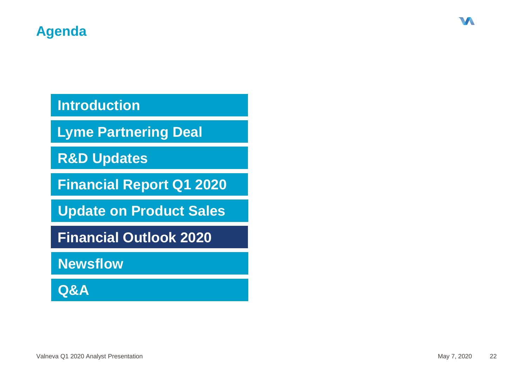# **Introduction**

**Lyme Partnering Deal**

**R&D Updates** 

**Financial Report Q1 2020**

**Update on Product Sales**

**Financial Outlook 2020**

**Newsflow**

**Q&A**

W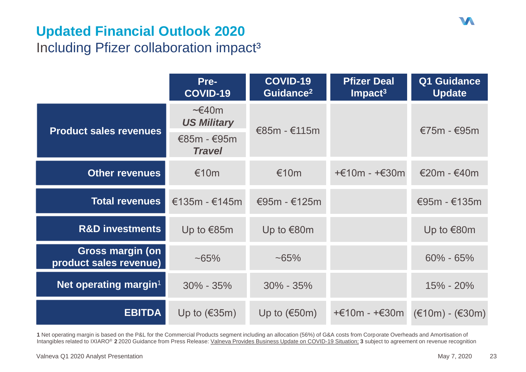# **Updated Financial Outlook 2020** Including Pfizer collaboration impact<sup>3</sup>

|                                                   | Pre-<br><b>COVID-19</b>                                                     | <b>COVID-19</b><br>Guidance <sup>2</sup> | <b>Pfizer Deal</b><br>$Im$ pact <sup>3</sup> | Q1 Guidance<br><b>Update</b>    |
|---------------------------------------------------|-----------------------------------------------------------------------------|------------------------------------------|----------------------------------------------|---------------------------------|
| <b>Product sales revenues</b>                     | $\sim \epsilon$ 40m<br><b>US Military</b><br>$€85m - €95m$<br><b>Travel</b> | €85m $-$ €115m                           |                                              | €75m - €95m                     |
| <b>Other revenues</b>                             | €10 $m$                                                                     | €10 $m$                                  | $+€10m - +€30m$                              | $€20m - €40m$                   |
| <b>Total revenues</b>                             | €135m - €145m                                                               | €95m - €125m                             |                                              | €95m - $€135m$                  |
| <b>R&amp;D investments</b>                        | Up to €85m                                                                  | Up to €80m                               |                                              | Up to €80m                      |
| <b>Gross margin (on</b><br>product sales revenue) | $~165\%$                                                                    | $~165\%$                                 |                                              | $60\% - 65\%$                   |
| Net operating margin <sup>1</sup>                 | $30\% - 35\%$                                                               | $30\% - 35\%$                            |                                              | 15% - 20%                       |
| <b>EBITDA</b>                                     | Up to $(€35m)$                                                              | Up to $(€50m)$                           | +€10m - +€30m                                | $(\text{£10m}) - (\text{£30m})$ |

**1** Net operating margin is based on the P&L for the Commercial Products segment including an allocation (56%) of G&A costs from Corporate Overheads and Amortisation of Intangibles related to IXIARO® **2** 2020 Guidance from Press Release: Valneva [Provides Business Update on COVID-19 Situation;](https://valneva.com/press-release/valneva-provides-business-update-on-covid-19-situation/) **3** subject to agreement on revenue recognition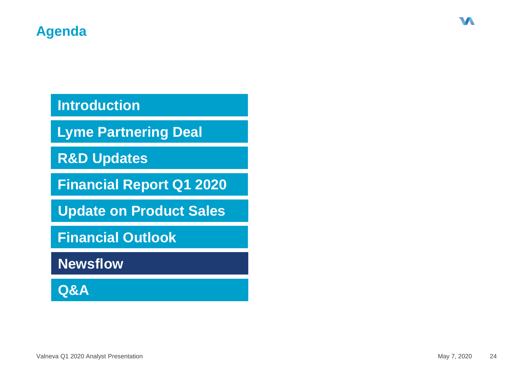# **Introduction**

**Lyme Partnering Deal**

**R&D Updates** 

**Financial Report Q1 2020**

**Update on Product Sales**

**Financial Outlook**

**Newsflow**

**Q&A**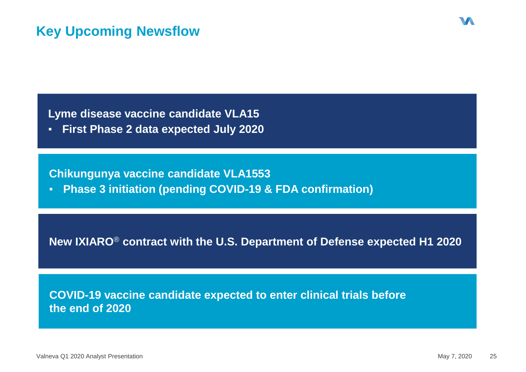**Lyme disease vaccine candidate VLA15**

▪ **First Phase 2 data expected July 2020**

**Chikungunya vaccine candidate VLA1553** 

▪ **Phase 3 initiation (pending COVID-19 & FDA confirmation)**

**New IXIARO**® **contract with the U.S. Department of Defense expected H1 2020**

**COVID-19 vaccine candidate expected to enter clinical trials before the end of 2020**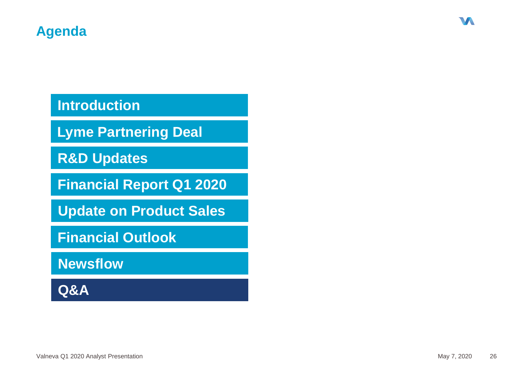# **Introduction**

**Lyme Partnering Deal**

**R&D Updates** 

**Financial Report Q1 2020**

**Update on Product Sales**

**Financial Outlook**

**Newsflow**

**Q&A**